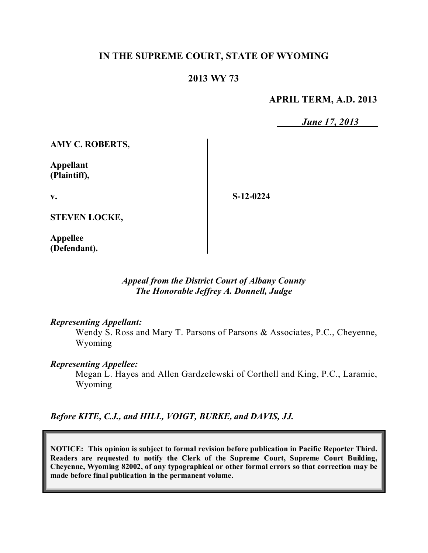## **IN THE SUPREME COURT, STATE OF WYOMING**

## **2013 WY 73**

#### **APRIL TERM, A.D. 2013**

*June 17, 2013*

**AMY C. ROBERTS,**

**Appellant (Plaintiff),**

**v.**

**S-12-0224**

**STEVEN LOCKE,**

**Appellee (Defendant).**

> *Appeal from the District Court of Albany County The Honorable Jeffrey A. Donnell, Judge*

#### *Representing Appellant:*

Wendy S. Ross and Mary T. Parsons of Parsons & Associates, P.C., Cheyenne, Wyoming

#### *Representing Appellee:*

Megan L. Hayes and Allen Gardzelewski of Corthell and King, P.C., Laramie, Wyoming

*Before KITE, C.J., and HILL, VOIGT, BURKE, and DAVIS, JJ.*

**NOTICE: This opinion is subject to formal revision before publication in Pacific Reporter Third. Readers are requested to notify the Clerk of the Supreme Court, Supreme Court Building, Cheyenne, Wyoming 82002, of any typographical or other formal errors so that correction may be made before final publication in the permanent volume.**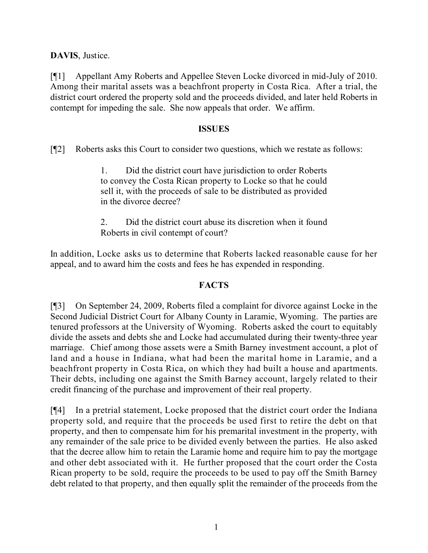**DAVIS**, Justice.

[¶1] Appellant Amy Roberts and Appellee Steven Locke divorced in mid-July of 2010. Among their marital assets was a beachfront property in Costa Rica. After a trial, the district court ordered the property sold and the proceeds divided, and later held Roberts in contempt for impeding the sale. She now appeals that order. We affirm.

#### **ISSUES**

[¶2] Roberts asks this Court to consider two questions, which we restate as follows:

1. Did the district court have jurisdiction to order Roberts to convey the Costa Rican property to Locke so that he could sell it, with the proceeds of sale to be distributed as provided in the divorce decree?

2. Did the district court abuse its discretion when it found Roberts in civil contempt of court?

In addition, Locke asks us to determine that Roberts lacked reasonable cause for her appeal, and to award him the costs and fees he has expended in responding.

### **FACTS**

[¶3] On September 24, 2009, Roberts filed a complaint for divorce against Locke in the Second Judicial District Court for Albany County in Laramie, Wyoming. The parties are tenured professors at the University of Wyoming. Roberts asked the court to equitably divide the assets and debts she and Locke had accumulated during their twenty-three year marriage. Chief among those assets were a Smith Barney investment account, a plot of land and a house in Indiana, what had been the marital home in Laramie, and a beachfront property in Costa Rica, on which they had built a house and apartments. Their debts, including one against the Smith Barney account, largely related to their credit financing of the purchase and improvement of their real property.

[¶4] In a pretrial statement, Locke proposed that the district court order the Indiana property sold, and require that the proceeds be used first to retire the debt on that property, and then to compensate him for his premarital investment in the property, with any remainder of the sale price to be divided evenly between the parties. He also asked that the decree allow him to retain the Laramie home and require him to pay the mortgage and other debt associated with it. He further proposed that the court order the Costa Rican property to be sold, require the proceeds to be used to pay off the Smith Barney debt related to that property, and then equally split the remainder of the proceeds from the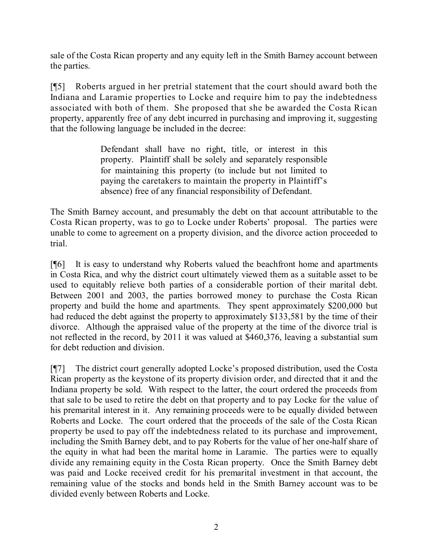sale of the Costa Rican property and any equity left in the Smith Barney account between the parties.

[¶5] Roberts argued in her pretrial statement that the court should award both the Indiana and Laramie properties to Locke and require him to pay the indebtedness associated with both of them. She proposed that she be awarded the Costa Rican property, apparently free of any debt incurred in purchasing and improving it, suggesting that the following language be included in the decree:

> Defendant shall have no right, title, or interest in this property. Plaintiff shall be solely and separately responsible for maintaining this property (to include but not limited to paying the caretakers to maintain the property in Plaintiff's absence) free of any financial responsibility of Defendant.

The Smith Barney account, and presumably the debt on that account attributable to the Costa Rican property, was to go to Locke under Roberts' proposal. The parties were unable to come to agreement on a property division, and the divorce action proceeded to trial.

[¶6] It is easy to understand why Roberts valued the beachfront home and apartments in Costa Rica, and why the district court ultimately viewed them as a suitable asset to be used to equitably relieve both parties of a considerable portion of their marital debt. Between 2001 and 2003, the parties borrowed money to purchase the Costa Rican property and build the home and apartments. They spent approximately \$200,000 but had reduced the debt against the property to approximately \$133,581 by the time of their divorce. Although the appraised value of the property at the time of the divorce trial is not reflected in the record, by 2011 it was valued at \$460,376, leaving a substantial sum for debt reduction and division.

[¶7] The district court generally adopted Locke's proposed distribution, used the Costa Rican property as the keystone of its property division order, and directed that it and the Indiana property be sold. With respect to the latter, the court ordered the proceeds from that sale to be used to retire the debt on that property and to pay Locke for the value of his premarital interest in it. Any remaining proceeds were to be equally divided between Roberts and Locke. The court ordered that the proceeds of the sale of the Costa Rican property be used to pay off the indebtedness related to its purchase and improvement, including the Smith Barney debt, and to pay Roberts for the value of her one-half share of the equity in what had been the marital home in Laramie. The parties were to equally divide any remaining equity in the Costa Rican property. Once the Smith Barney debt was paid and Locke received credit for his premarital investment in that account, the remaining value of the stocks and bonds held in the Smith Barney account was to be divided evenly between Roberts and Locke.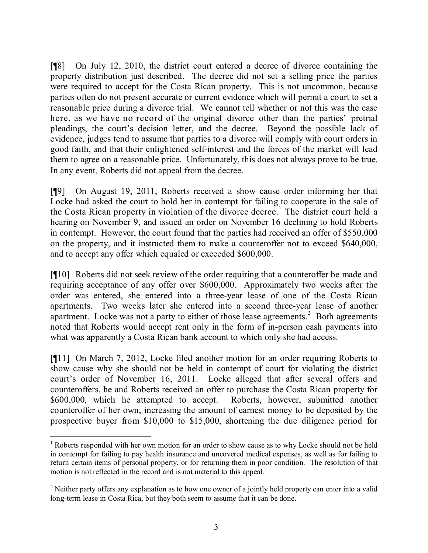[¶8] On July 12, 2010, the district court entered a decree of divorce containing the property distribution just described. The decree did not set a selling price the parties were required to accept for the Costa Rican property. This is not uncommon, because parties often do not present accurate or current evidence which will permit a court to set a reasonable price during a divorce trial. We cannot tell whether or not this was the case here, as we have no record of the original divorce other than the parties' pretrial pleadings, the court's decision letter, and the decree. Beyond the possible lack of evidence, judges tend to assume that parties to a divorce will comply with court orders in good faith, and that their enlightened self-interest and the forces of the market will lead them to agree on a reasonable price. Unfortunately, this does not always prove to be true. In any event, Roberts did not appeal from the decree.

[¶9] On August 19, 2011, Roberts received a show cause order informing her that Locke had asked the court to hold her in contempt for failing to cooperate in the sale of the Costa Rican property in violation of the divorce decree.<sup>1</sup> The district court held a hearing on November 9, and issued an order on November 16 declining to hold Roberts in contempt. However, the court found that the parties had received an offer of \$550,000 on the property, and it instructed them to make a counteroffer not to exceed \$640,000, and to accept any offer which equaled or exceeded \$600,000.

[¶10] Roberts did not seek review of the order requiring that a counteroffer be made and requiring acceptance of any offer over \$600,000. Approximately two weeks after the order was entered, she entered into a three-year lease of one of the Costa Rican apartments. Two weeks later she entered into a second three-year lease of another apartment. Locke was not a party to either of those lease agreements.<sup>2</sup> Both agreements noted that Roberts would accept rent only in the form of in-person cash payments into what was apparently a Costa Rican bank account to which only she had access.

[¶11] On March 7, 2012, Locke filed another motion for an order requiring Roberts to show cause why she should not be held in contempt of court for violating the district court's order of November 16, 2011. Locke alleged that after several offers and counteroffers, he and Roberts received an offer to purchase the Costa Rican property for \$600,000, which he attempted to accept. Roberts, however, submitted another counteroffer of her own, increasing the amount of earnest money to be deposited by the prospective buyer from \$10,000 to \$15,000, shortening the due diligence period for

 $\overline{a}$ 

<sup>&</sup>lt;sup>1</sup> Roberts responded with her own motion for an order to show cause as to why Locke should not be held in contempt for failing to pay health insurance and uncovered medical expenses, as well as for failing to return certain items of personal property, or for returning them in poor condition. The resolution of that motion is not reflected in the record and is not material to this appeal.

<sup>&</sup>lt;sup>2</sup> Neither party offers any explanation as to how one owner of a jointly held property can enter into a valid long-term lease in Costa Rica, but they both seem to assume that it can be done.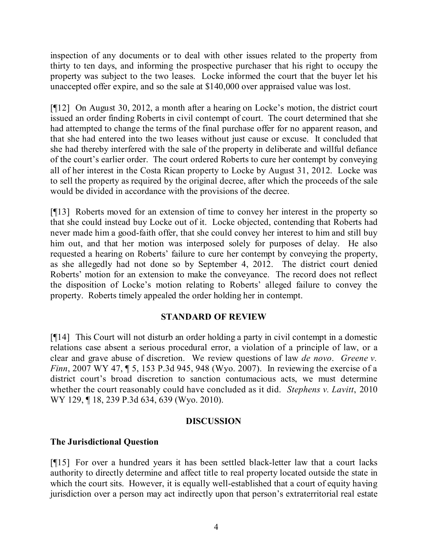inspection of any documents or to deal with other issues related to the property from thirty to ten days, and informing the prospective purchaser that his right to occupy the property was subject to the two leases. Locke informed the court that the buyer let his unaccepted offer expire, and so the sale at \$140,000 over appraised value was lost.

[¶12] On August 30, 2012, a month after a hearing on Locke's motion, the district court issued an order finding Roberts in civil contempt of court. The court determined that she had attempted to change the terms of the final purchase offer for no apparent reason, and that she had entered into the two leases without just cause or excuse. It concluded that she had thereby interfered with the sale of the property in deliberate and willful defiance of the court's earlier order. The court ordered Roberts to cure her contempt by conveying all of her interest in the Costa Rican property to Locke by August 31, 2012. Locke was to sell the property as required by the original decree, after which the proceeds of the sale would be divided in accordance with the provisions of the decree.

[¶13] Roberts moved for an extension of time to convey her interest in the property so that she could instead buy Locke out of it. Locke objected, contending that Roberts had never made him a good-faith offer, that she could convey her interest to him and still buy him out, and that her motion was interposed solely for purposes of delay. He also requested a hearing on Roberts' failure to cure her contempt by conveying the property, as she allegedly had not done so by September 4, 2012. The district court denied Roberts' motion for an extension to make the conveyance. The record does not reflect the disposition of Locke's motion relating to Roberts' alleged failure to convey the property. Roberts timely appealed the order holding her in contempt.

### **STANDARD OF REVIEW**

[¶14] This Court will not disturb an order holding a party in civil contempt in a domestic relations case absent a serious procedural error, a violation of a principle of law, or a clear and grave abuse of discretion. We review questions of law *de novo*. *Greene v. Finn*, 2007 WY 47, 15, 153 P.3d 945, 948 (Wyo. 2007). In reviewing the exercise of a district court's broad discretion to sanction contumacious acts, we must determine whether the court reasonably could have concluded as it did. *Stephens v. Lavitt*, 2010 WY 129, 18, 239 P.3d 634, 639 (Wyo. 2010).

#### **DISCUSSION**

### **The Jurisdictional Question**

[¶15] For over a hundred years it has been settled black-letter law that a court lacks authority to directly determine and affect title to real property located outside the state in which the court sits. However, it is equally well-established that a court of equity having jurisdiction over a person may act indirectly upon that person's extraterritorial real estate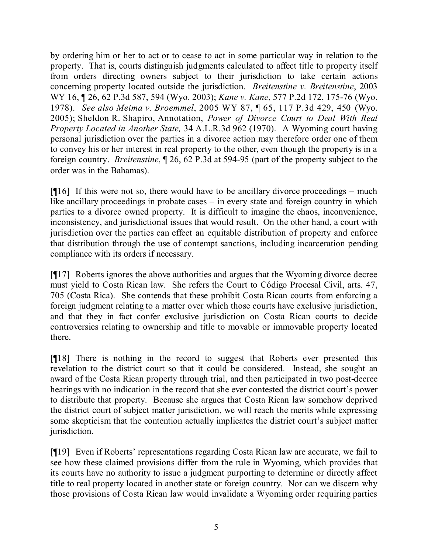by ordering him or her to act or to cease to act in some particular way in relation to the property. That is, courts distinguish judgments calculated to affect title to property itself from orders directing owners subject to their jurisdiction to take certain actions concerning property located outside the jurisdiction. *Breitenstine v. Breitenstine*, 2003 WY 16, ¶ 26, 62 P.3d 587, 594 (Wyo. 2003); *Kane v. Kane*, 577 P.2d 172, 175-76 (Wyo. 1978). *See also Meima v. Broemmel*, 2005 WY 87, ¶ 65, 117 P.3d 429, 450 (Wyo. 2005); Sheldon R. Shapiro, Annotation, *Power of Divorce Court to Deal With Real Property Located in Another State,* 34 A.L.R.3d 962 (1970).A Wyoming court having personal jurisdiction over the parties in a divorce action may therefore order one of them to convey his or her interest in real property to the other, even though the property is in a foreign country. *Breitenstine*, ¶ 26, 62 P.3d at 594-95 (part of the property subject to the order was in the Bahamas).

 $[916]$  If this were not so, there would have to be ancillary divorce proceedings – much like ancillary proceedings in probate cases – in every state and foreign country in which parties to a divorce owned property. It is difficult to imagine the chaos, inconvenience, inconsistency, and jurisdictional issues that would result. On the other hand, a court with jurisdiction over the parties can effect an equitable distribution of property and enforce that distribution through the use of contempt sanctions, including incarceration pending compliance with its orders if necessary.

[¶17] Roberts ignores the above authorities and argues that the Wyoming divorce decree must yield to Costa Rican law. She refers the Court to Código Procesal Civil, arts. 47, 705 (Costa Rica). She contends that these prohibit Costa Rican courts from enforcing a foreign judgment relating to a matter over which those courts have exclusive jurisdiction, and that they in fact confer exclusive jurisdiction on Costa Rican courts to decide controversies relating to ownership and title to movable or immovable property located there.

[¶18] There is nothing in the record to suggest that Roberts ever presented this revelation to the district court so that it could be considered. Instead, she sought an award of the Costa Rican property through trial, and then participated in two post-decree hearings with no indication in the record that she ever contested the district court's power to distribute that property. Because she argues that Costa Rican law somehow deprived the district court of subject matter jurisdiction, we will reach the merits while expressing some skepticism that the contention actually implicates the district court's subject matter jurisdiction.

[¶19] Even if Roberts' representations regarding Costa Rican law are accurate, we fail to see how these claimed provisions differ from the rule in Wyoming, which provides that its courts have no authority to issue a judgment purporting to determine or directly affect title to real property located in another state or foreign country. Nor can we discern why those provisions of Costa Rican law would invalidate a Wyoming order requiring parties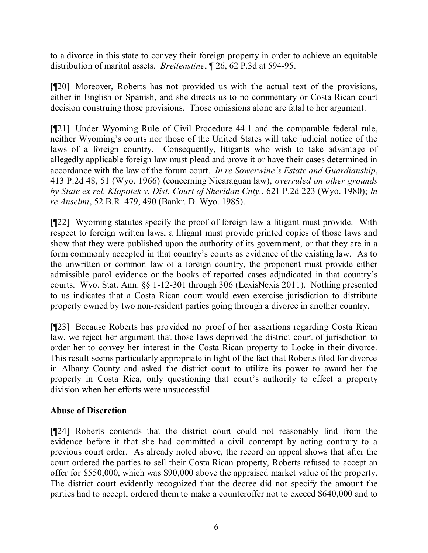to a divorce in this state to convey their foreign property in order to achieve an equitable distribution of marital assets. *Breitenstine*, ¶ 26, 62 P.3d at 594-95.

[¶20] Moreover, Roberts has not provided us with the actual text of the provisions, either in English or Spanish, and she directs us to no commentary or Costa Rican court decision construing those provisions. Those omissions alone are fatal to her argument.

[¶21] Under Wyoming Rule of Civil Procedure 44.1 and the comparable federal rule, neither Wyoming's courts nor those of the United States will take judicial notice of the laws of a foreign country. Consequently, litigants who wish to take advantage of allegedly applicable foreign law must plead and prove it or have their cases determined in accordance with the law of the forum court. *In re Sowerwine's Estate and Guardianship*, 413 P.2d 48, 51 (Wyo. 1966) (concerning Nicaraguan law), *overruled on other grounds by State ex rel. Klopotek v. Dist. Court of Sheridan Cnty.*, 621 P.2d 223 (Wyo. 1980); *In re Anselmi*, 52 B.R. 479, 490 (Bankr. D. Wyo. 1985).

[¶22] Wyoming statutes specify the proof of foreign law a litigant must provide. With respect to foreign written laws, a litigant must provide printed copies of those laws and show that they were published upon the authority of its government, or that they are in a form commonly accepted in that country's courts as evidence of the existing law. As to the unwritten or common law of a foreign country, the proponent must provide either admissible parol evidence or the books of reported cases adjudicated in that country's courts. Wyo. Stat. Ann. §§ 1-12-301 through 306 (LexisNexis 2011). Nothing presented to us indicates that a Costa Rican court would even exercise jurisdiction to distribute property owned by two non-resident parties going through a divorce in another country.

[¶23] Because Roberts has provided no proof of her assertions regarding Costa Rican law, we reject her argument that those laws deprived the district court of jurisdiction to order her to convey her interest in the Costa Rican property to Locke in their divorce. This result seems particularly appropriate in light of the fact that Roberts filed for divorce in Albany County and asked the district court to utilize its power to award her the property in Costa Rica, only questioning that court's authority to effect a property division when her efforts were unsuccessful.

### **Abuse of Discretion**

[¶24] Roberts contends that the district court could not reasonably find from the evidence before it that she had committed a civil contempt by acting contrary to a previous court order. As already noted above, the record on appeal shows that after the court ordered the parties to sell their Costa Rican property, Roberts refused to accept an offer for \$550,000, which was \$90,000 above the appraised market value of the property. The district court evidently recognized that the decree did not specify the amount the parties had to accept, ordered them to make a counteroffer not to exceed \$640,000 and to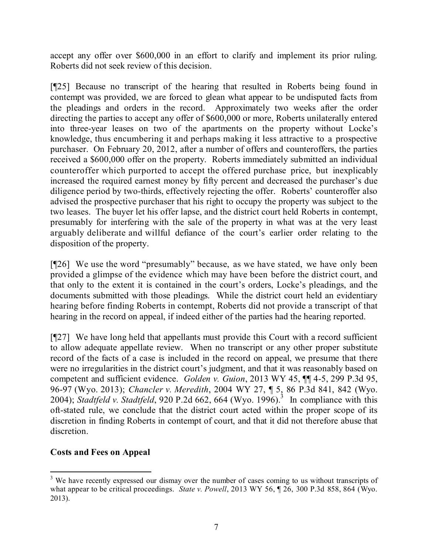accept any offer over \$600,000 in an effort to clarify and implement its prior ruling. Roberts did not seek review of this decision.

[¶25] Because no transcript of the hearing that resulted in Roberts being found in contempt was provided, we are forced to glean what appear to be undisputed facts from the pleadings and orders in the record. Approximately two weeks after the order directing the parties to accept any offer of \$600,000 or more, Roberts unilaterally entered into three-year leases on two of the apartments on the property without Locke's knowledge, thus encumbering it and perhaps making it less attractive to a prospective purchaser. On February 20, 2012, after a number of offers and counteroffers, the parties received a \$600,000 offer on the property. Roberts immediately submitted an individual counteroffer which purported to accept the offered purchase price, but inexplicably increased the required earnest money by fifty percent and decreased the purchaser's due diligence period by two-thirds, effectively rejecting the offer. Roberts' counteroffer also advised the prospective purchaser that his right to occupy the property was subject to the two leases. The buyer let his offer lapse, and the district court held Roberts in contempt, presumably for interfering with the sale of the property in what was at the very least arguably deliberate and willful defiance of the court's earlier order relating to the disposition of the property.

[¶26] We use the word "presumably" because, as we have stated, we have only been provided a glimpse of the evidence which may have been before the district court, and that only to the extent it is contained in the court's orders, Locke's pleadings, and the documents submitted with those pleadings. While the district court held an evidentiary hearing before finding Roberts in contempt, Roberts did not provide a transcript of that hearing in the record on appeal, if indeed either of the parties had the hearing reported.

[¶27] We have long held that appellants must provide this Court with a record sufficient to allow adequate appellate review. When no transcript or any other proper substitute record of the facts of a case is included in the record on appeal, we presume that there were no irregularities in the district court's judgment, and that it was reasonably based on competent and sufficient evidence. *Golden v. Guion*, 2013 WY 45, ¶¶ 4-5, 299 P.3d 95, 96-97 (Wyo. 2013); *Chancler v. Meredith*, 2004 WY 27, ¶ 5, 86 P.3d 841, 842 (Wyo. 2004); *Stadtfeld v. Stadtfeld*, 920 P.2d 662, 664 (Wyo. 1996).<sup>3</sup> In compliance with this oft-stated rule, we conclude that the district court acted within the proper scope of its discretion in finding Roberts in contempt of court, and that it did not therefore abuse that discretion.

# **Costs and Fees on Appeal**

 <sup>3</sup> We have recently expressed our dismay over the number of cases coming to us without transcripts of what appear to be critical proceedings. *State v. Powell*, 2013 WY 56, 126, 300 P.3d 858, 864 (Wyo.) 2013).